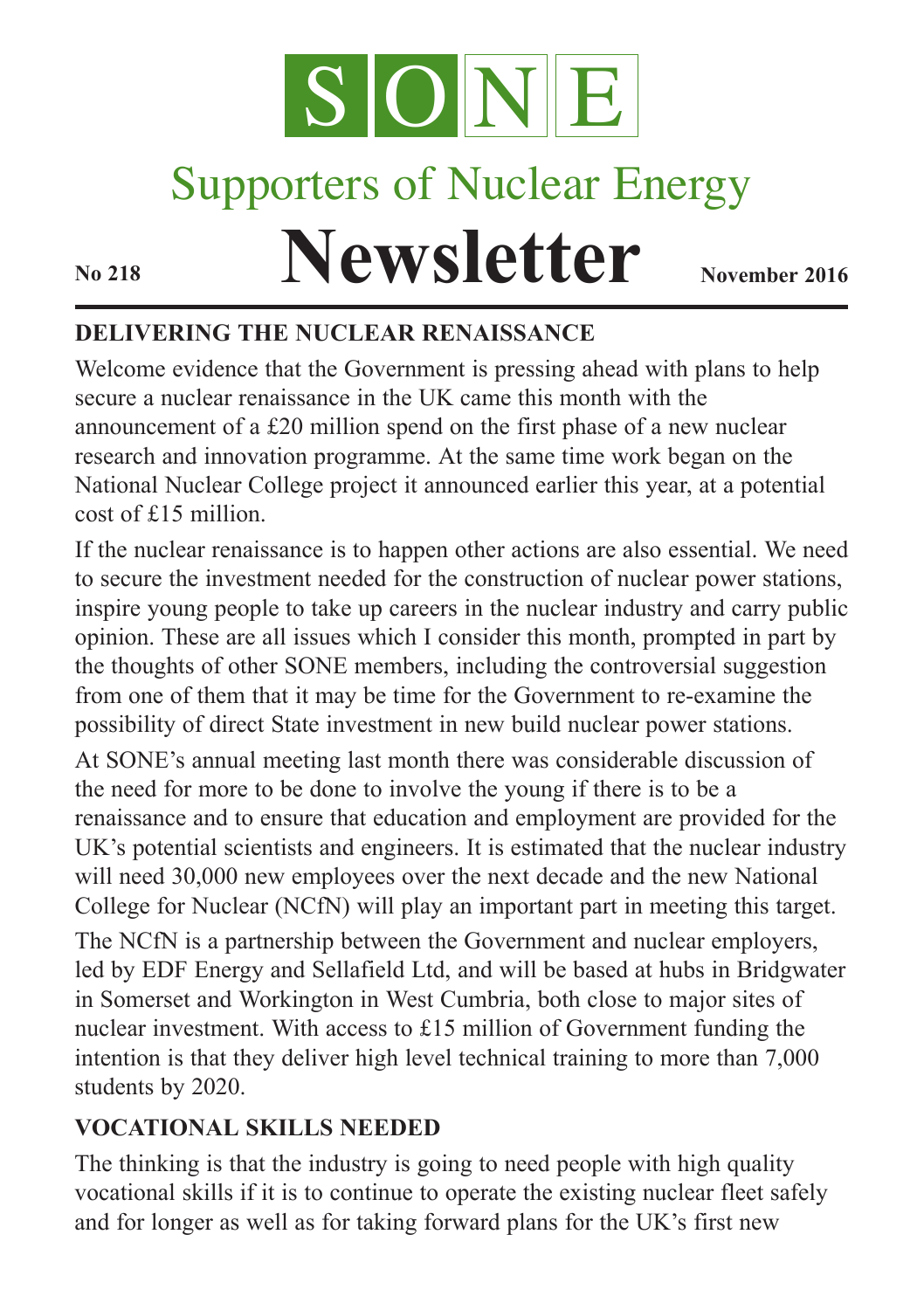

# Supporters of Nuclear Energy

**Newsletter November** 2016

## **DELIVERING THE NUCLEAR RENAISSANCE**

Welcome evidence that the Government is pressing ahead with plans to help secure a nuclear renaissance in the UK came this month with the announcement of a £20 million spend on the first phase of a new nuclear research and innovation programme. At the same time work began on the National Nuclear College project it announced earlier this year, at a potential cost of £15 million.

If the nuclear renaissance is to happen other actions are also essential. We need to secure the investment needed for the construction of nuclear power stations, inspire young people to take up careers in the nuclear industry and carry public opinion. These are all issues which I consider this month, prompted in part by the thoughts of other SONE members, including the controversial suggestion from one of them that it may be time for the Government to re-examine the possibility of direct State investment in new build nuclear power stations.

At SONE's annual meeting last month there was considerable discussion of the need for more to be done to involve the young if there is to be a renaissance and to ensure that education and employment are provided for the UK's potential scientists and engineers. It is estimated that the nuclear industry will need 30,000 new employees over the next decade and the new National College for Nuclear (NCfN) will play an important part in meeting this target. The NCfN is a partnership between the Government and nuclear employers, led by EDF Energy and Sellafield Ltd, and will be based at hubs in Bridgwater in Somerset and Workington in West Cumbria, both close to major sites of nuclear investment. With access to £15 million of Government funding the intention is that they deliver high level technical training to more than 7,000 students by 2020.

### **VOCATIONAL SKILLS NEEDED**

The thinking is that the industry is going to need people with high quality vocational skills if it is to continue to operate the existing nuclear fleet safely and for longer as well as for taking forward plans for the UK's first new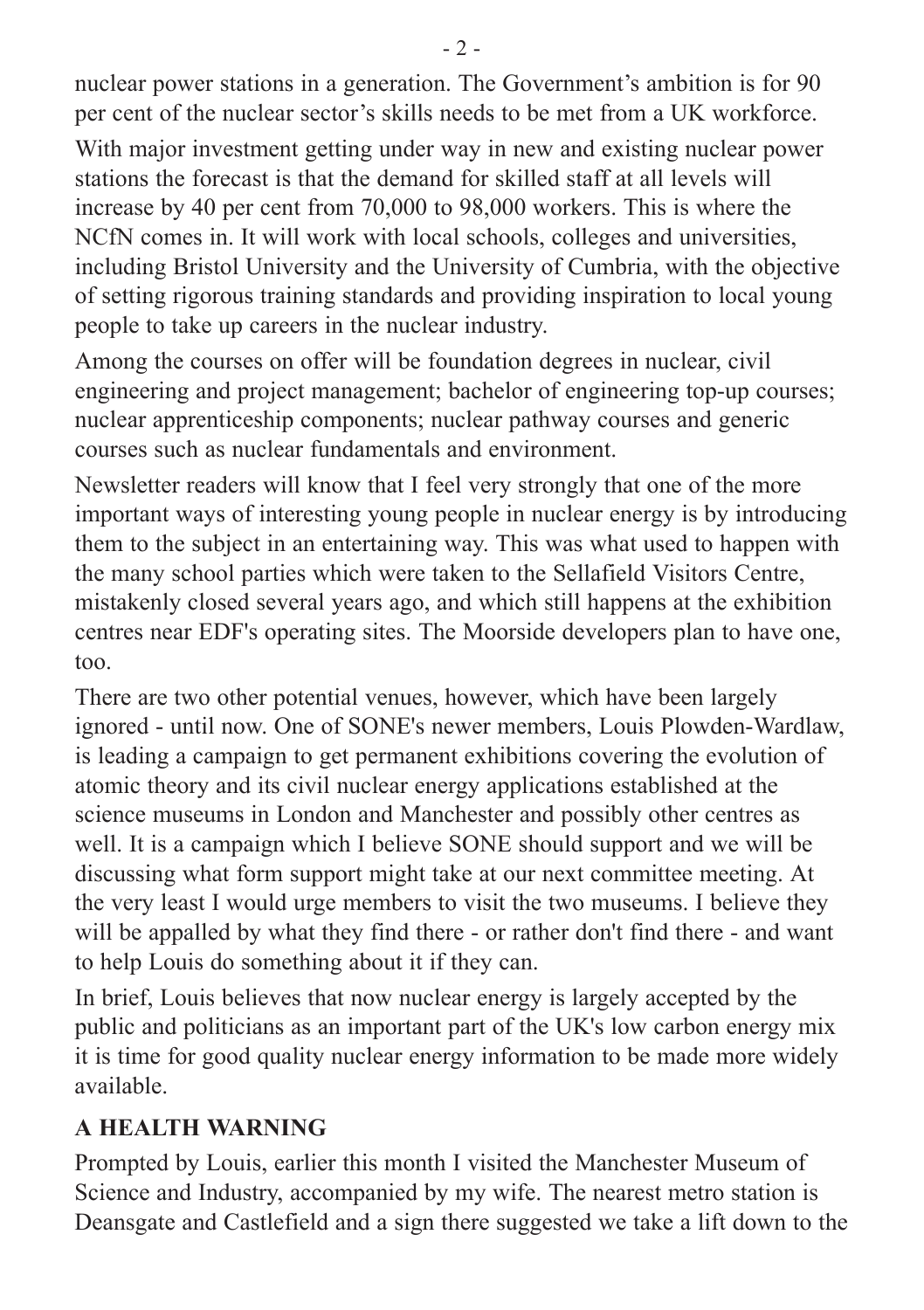nuclear power stations in a generation. The Government's ambition is for 90 per cent of the nuclear sector's skills needs to be met from a UK workforce.

With major investment getting under way in new and existing nuclear power stations the forecast is that the demand for skilled staff at all levels will increase by 40 per cent from 70,000 to 98,000 workers. This is where the NCfN comes in. It will work with local schools, colleges and universities, including Bristol University and the University of Cumbria, with the objective of setting rigorous training standards and providing inspiration to local young people to take up careers in the nuclear industry.

Among the courses on offer will be foundation degrees in nuclear, civil engineering and project management; bachelor of engineering top-up courses; nuclear apprenticeship components; nuclear pathway courses and generic courses such as nuclear fundamentals and environment.

Newsletter readers will know that I feel very strongly that one of the more important ways of interesting young people in nuclear energy is by introducing them to the subject in an entertaining way. This was what used to happen with the many school parties which were taken to the Sellafield Visitors Centre, mistakenly closed several years ago, and which still happens at the exhibition centres near EDF's operating sites. The Moorside developers plan to have one, too.

There are two other potential venues, however, which have been largely ignored - until now. One of SONE's newer members, Louis Plowden-Wardlaw, is leading a campaign to get permanent exhibitions covering the evolution of atomic theory and its civil nuclear energy applications established at the science museums in London and Manchester and possibly other centres as well. It is a campaign which I believe SONE should support and we will be discussing what form support might take at our next committee meeting. At the very least I would urge members to visit the two museums. I believe they will be appalled by what they find there - or rather don't find there - and want to help Louis do something about it if they can.

In brief, Louis believes that now nuclear energy is largely accepted by the public and politicians as an important part of the UK's low carbon energy mix it is time for good quality nuclear energy information to be made more widely available.

### **A HEALTH WARNING**

Prompted by Louis, earlier this month I visited the Manchester Museum of Science and Industry, accompanied by my wife. The nearest metro station is Deansgate and Castlefield and a sign there suggested we take a lift down to the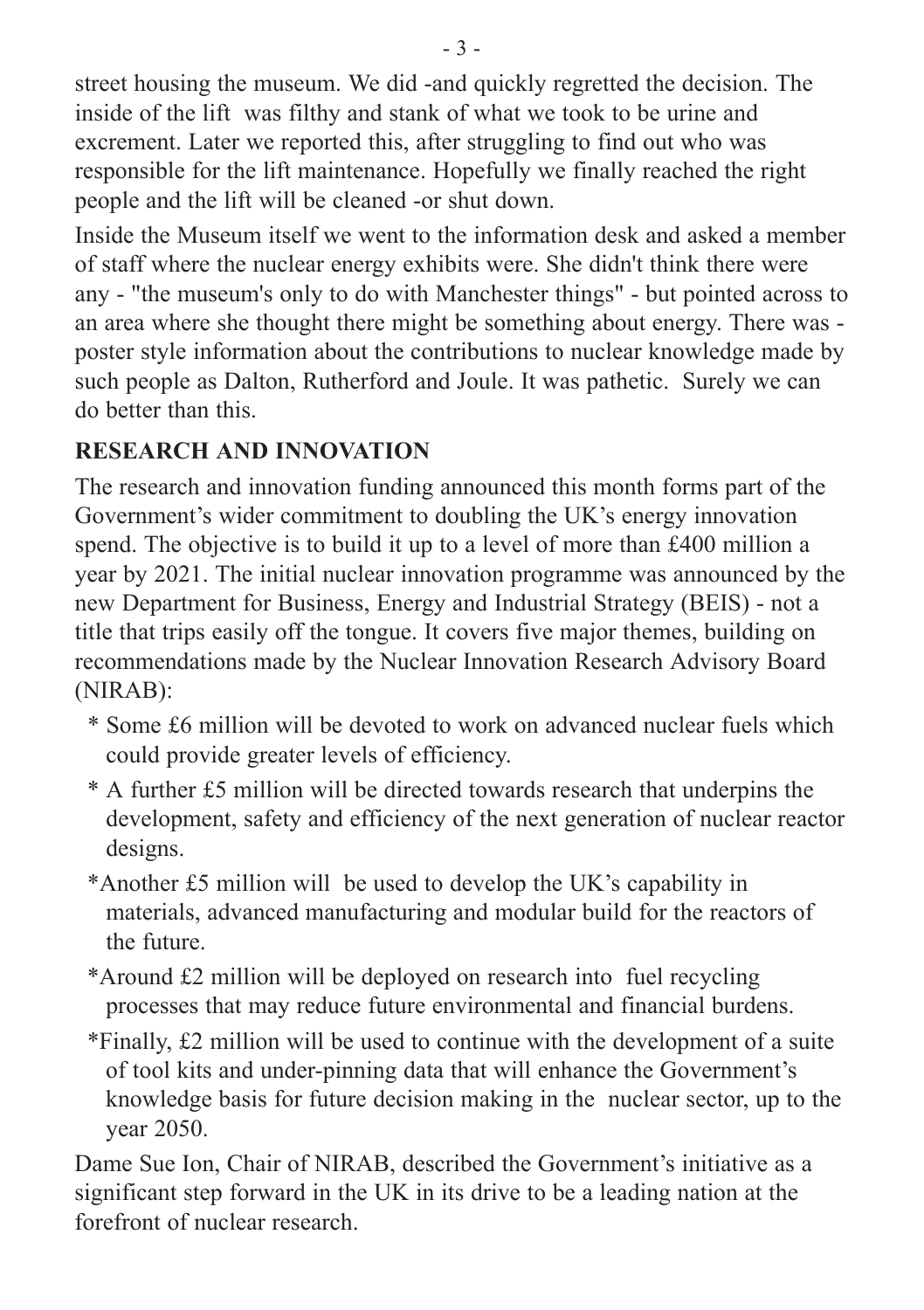street housing the museum. We did -and quickly regretted the decision. The inside of the lift was filthy and stank of what we took to be urine and excrement. Later we reported this, after struggling to find out who was responsible for the lift maintenance. Hopefully we finally reached the right people and the lift will be cleaned -or shut down.

Inside the Museum itself we went to the information desk and asked a member of staff where the nuclear energy exhibits were. She didn't think there were any - "the museum's only to do with Manchester things" - but pointed across to an area where she thought there might be something about energy. There was poster style information about the contributions to nuclear knowledge made by such people as Dalton, Rutherford and Joule. It was pathetic. Surely we can do better than this.

### **RESEARCH AND INNOVATION**

The research and innovation funding announced this month forms part of the Government's wider commitment to doubling the UK's energy innovation spend. The objective is to build it up to a level of more than £400 million a year by 2021. The initial nuclear innovation programme was announced by the new Department for Business, Energy and Industrial Strategy (BEIS) - not a title that trips easily off the tongue. It covers five major themes, building on recommendations made by the Nuclear Innovation Research Advisory Board (NIRAB):

- \* Some £6 million will be devoted to work on advanced nuclear fuels which could provide greater levels of efficiency.
- \* A further £5 million will be directed towards research that underpins the development, safety and efficiency of the next generation of nuclear reactor designs.
- \*Another £5 million will be used to develop the UK's capability in materials, advanced manufacturing and modular build for the reactors of the future.
- \*Around £2 million will be deployed on research into fuel recycling processes that may reduce future environmental and financial burdens.
- \*Finally, £2 million will be used to continue with the development of a suite of tool kits and under-pinning data that will enhance the Government's knowledge basis for future decision making in the nuclear sector, up to the year 2050.

Dame Sue Ion, Chair of NIRAB, described the Government's initiative as a significant step forward in the UK in its drive to be a leading nation at the forefront of nuclear research.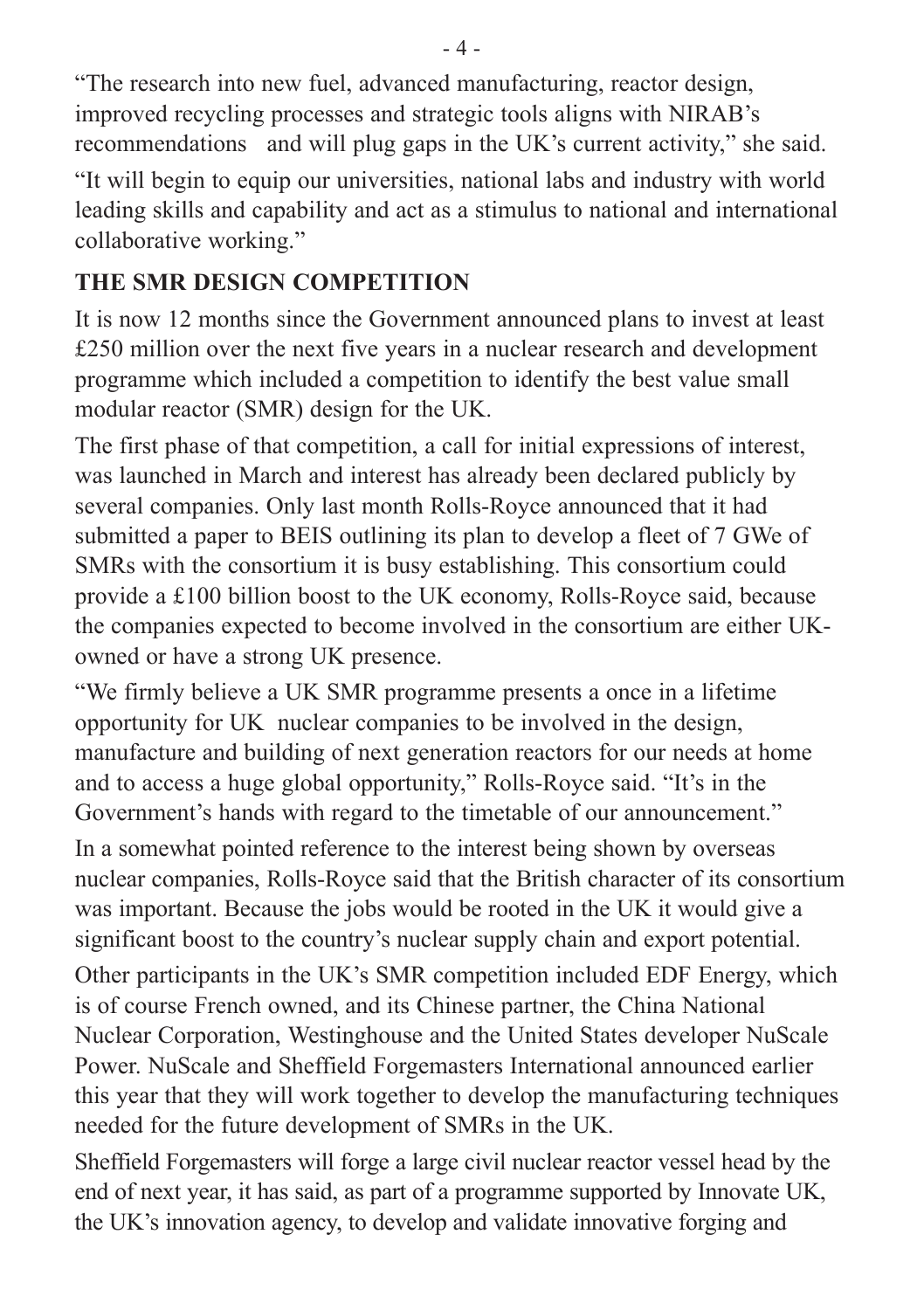"The research into new fuel, advanced manufacturing, reactor design, improved recycling processes and strategic tools aligns with NIRAB's recommendations and will plug gaps in the UK's current activity," she said.

"It will begin to equip our universities, national labs and industry with world leading skills and capability and act as a stimulus to national and international collaborative working."

## **THE SMR DESIGN COMPETITION**

It is now 12 months since the Government announced plans to invest at least £250 million over the next five years in a nuclear research and development programme which included a competition to identify the best value small modular reactor (SMR) design for the UK.

The first phase of that competition, a call for initial expressions of interest, was launched in March and interest has already been declared publicly by several companies. Only last month Rolls-Royce announced that it had submitted a paper to BEIS outlining its plan to develop a fleet of 7 GWe of SMRs with the consortium it is busy establishing. This consortium could provide a £100 billion boost to the UK economy, Rolls-Royce said, because the companies expected to become involved in the consortium are either UKowned or have a strong UK presence.

"We firmly believe a UK SMR programme presents a once in a lifetime opportunity for UK nuclear companies to be involved in the design, manufacture and building of next generation reactors for our needs at home and to access a huge global opportunity," Rolls-Royce said. "It's in the Government's hands with regard to the timetable of our announcement."

In a somewhat pointed reference to the interest being shown by overseas nuclear companies, Rolls-Royce said that the British character of its consortium was important. Because the jobs would be rooted in the UK it would give a significant boost to the country's nuclear supply chain and export potential.

Other participants in the UK's SMR competition included EDF Energy, which is of course French owned, and its Chinese partner, the China National Nuclear Corporation, Westinghouse and the United States developer NuScale Power. NuScale and Sheffield Forgemasters International announced earlier this year that they will work together to develop the manufacturing techniques needed for the future development of SMRs in the UK.

Sheffield Forgemasters will forge a large civil nuclear reactor vessel head by the end of next year, it has said, as part of a programme supported by Innovate UK, the UK's innovation agency, to develop and validate innovative forging and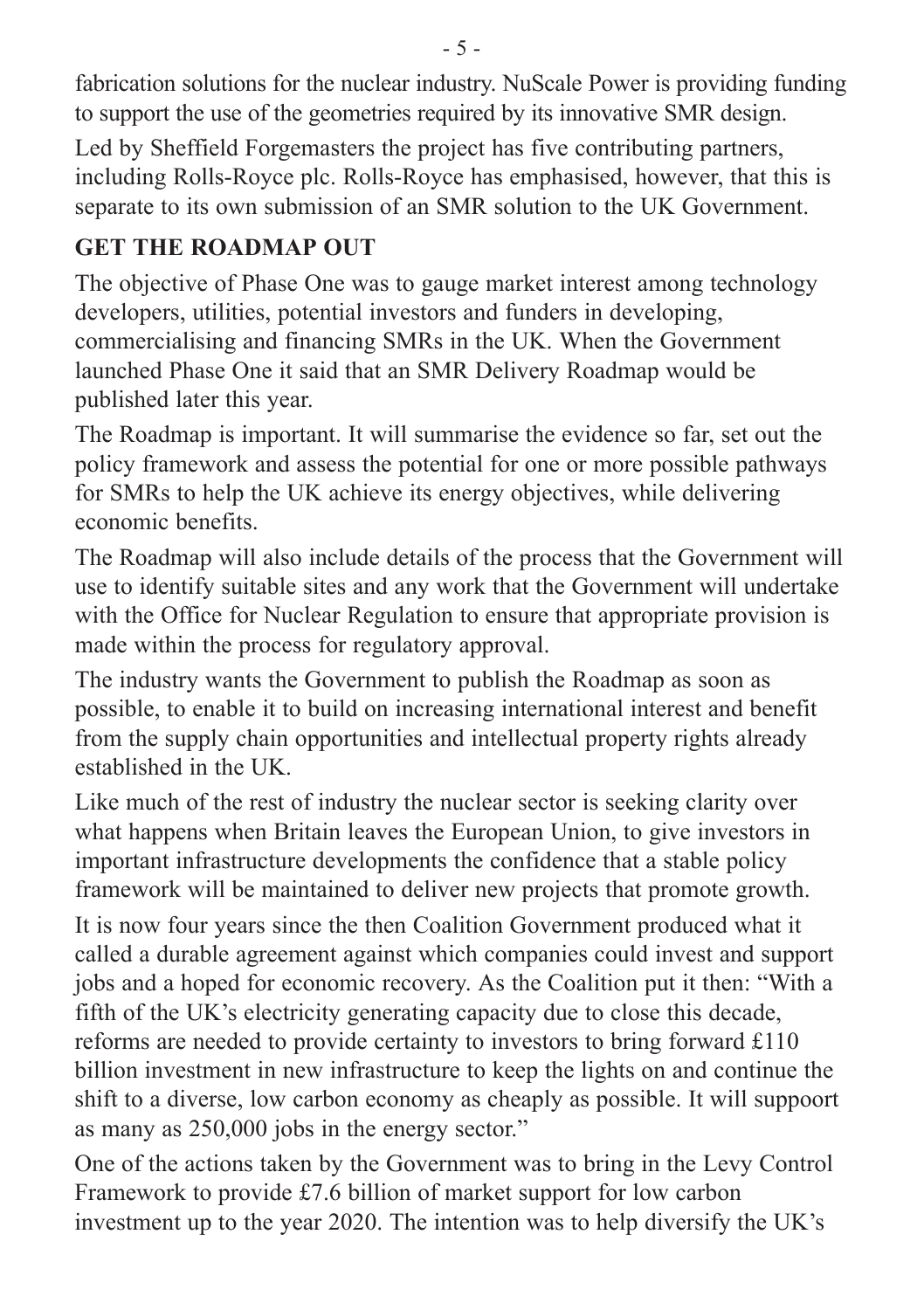fabrication solutions for the nuclear industry. NuScale Power is providing funding to support the use of the geometries required by its innovative SMR design.

Led by Sheffield Forgemasters the project has five contributing partners, including Rolls-Royce plc. Rolls-Royce has emphasised, however, that this is separate to its own submission of an SMR solution to the UK Government.

## **GET THE ROADMAP OUT**

The objective of Phase One was to gauge market interest among technology developers, utilities, potential investors and funders in developing, commercialising and financing SMRs in the UK. When the Government launched Phase One it said that an SMR Delivery Roadmap would be published later this year.

The Roadmap is important. It will summarise the evidence so far, set out the policy framework and assess the potential for one or more possible pathways for SMRs to help the UK achieve its energy objectives, while delivering economic benefits.

The Roadmap will also include details of the process that the Government will use to identify suitable sites and any work that the Government will undertake with the Office for Nuclear Regulation to ensure that appropriate provision is made within the process for regulatory approval.

The industry wants the Government to publish the Roadmap as soon as possible, to enable it to build on increasing international interest and benefit from the supply chain opportunities and intellectual property rights already established in the UK.

Like much of the rest of industry the nuclear sector is seeking clarity over what happens when Britain leaves the European Union, to give investors in important infrastructure developments the confidence that a stable policy framework will be maintained to deliver new projects that promote growth.

It is now four years since the then Coalition Government produced what it called a durable agreement against which companies could invest and support jobs and a hoped for economic recovery. As the Coalition put it then: "With a fifth of the UK's electricity generating capacity due to close this decade, reforms are needed to provide certainty to investors to bring forward £110 billion investment in new infrastructure to keep the lights on and continue the shift to a diverse, low carbon economy as cheaply as possible. It will suppoort as many as 250,000 jobs in the energy sector."

One of the actions taken by the Government was to bring in the Levy Control Framework to provide £7.6 billion of market support for low carbon investment up to the year 2020. The intention was to help diversify the UK's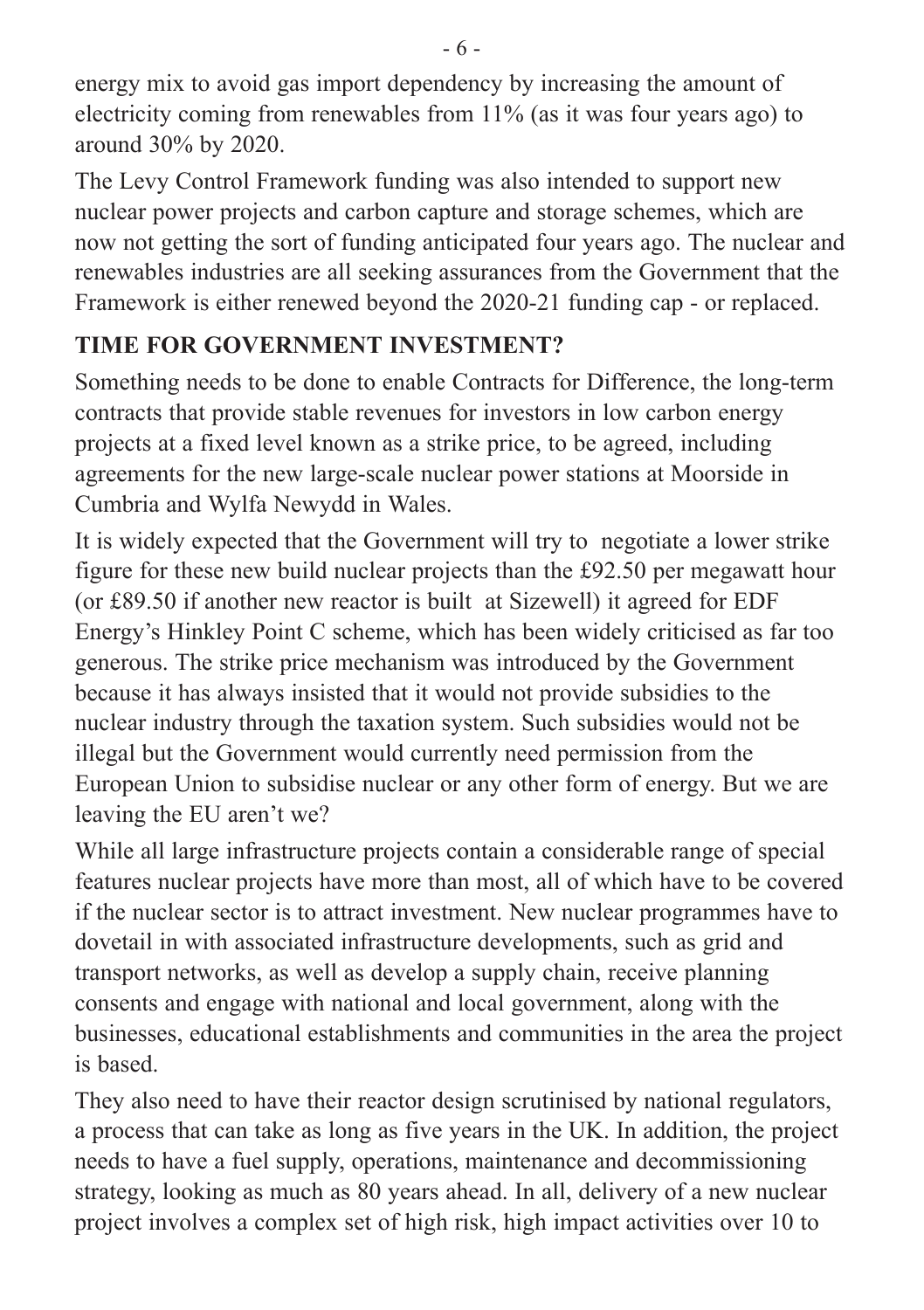energy mix to avoid gas import dependency by increasing the amount of electricity coming from renewables from 11% (as it was four years ago) to around 30% by 2020.

The Levy Control Framework funding was also intended to support new nuclear power projects and carbon capture and storage schemes, which are now not getting the sort of funding anticipated four years ago. The nuclear and renewables industries are all seeking assurances from the Government that the Framework is either renewed beyond the 2020-21 funding cap - or replaced.

## **TIME FOR GOVERNMENT INVESTMENT?**

Something needs to be done to enable Contracts for Difference, the long-term contracts that provide stable revenues for investors in low carbon energy projects at a fixed level known as a strike price, to be agreed, including agreements for the new large-scale nuclear power stations at Moorside in Cumbria and Wylfa Newydd in Wales.

It is widely expected that the Government will try to negotiate a lower strike figure for these new build nuclear projects than the £92.50 per megawatt hour (or £89.50 if another new reactor is built at Sizewell) it agreed for EDF Energy's Hinkley Point C scheme, which has been widely criticised as far too generous. The strike price mechanism was introduced by the Government because it has always insisted that it would not provide subsidies to the nuclear industry through the taxation system. Such subsidies would not be illegal but the Government would currently need permission from the European Union to subsidise nuclear or any other form of energy. But we are leaving the EU aren't we?

While all large infrastructure projects contain a considerable range of special features nuclear projects have more than most, all of which have to be covered if the nuclear sector is to attract investment. New nuclear programmes have to dovetail in with associated infrastructure developments, such as grid and transport networks, as well as develop a supply chain, receive planning consents and engage with national and local government, along with the businesses, educational establishments and communities in the area the project is based.

They also need to have their reactor design scrutinised by national regulators, a process that can take as long as five years in the UK. In addition, the project needs to have a fuel supply, operations, maintenance and decommissioning strategy, looking as much as 80 years ahead. In all, delivery of a new nuclear project involves a complex set of high risk, high impact activities over 10 to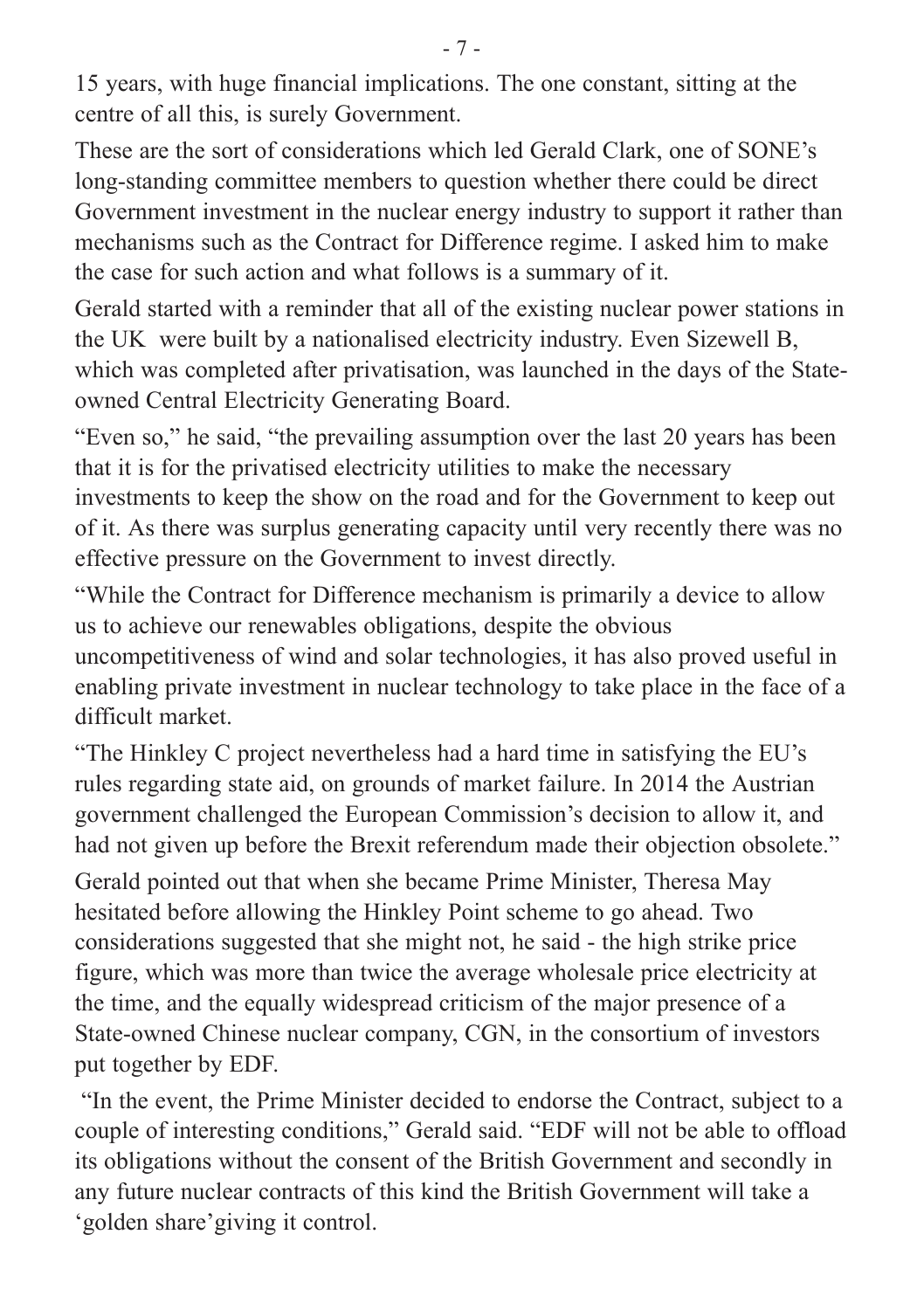15 years, with huge financial implications. The one constant, sitting at the centre of all this, is surely Government.

These are the sort of considerations which led Gerald Clark, one of SONE's long-standing committee members to question whether there could be direct Government investment in the nuclear energy industry to support it rather than mechanisms such as the Contract for Difference regime. I asked him to make the case for such action and what follows is a summary of it.

Gerald started with a reminder that all of the existing nuclear power stations in the UK were built by a nationalised electricity industry. Even Sizewell B, which was completed after privatisation, was launched in the days of the Stateowned Central Electricity Generating Board.

"Even so," he said, "the prevailing assumption over the last 20 years has been that it is for the privatised electricity utilities to make the necessary investments to keep the show on the road and for the Government to keep out of it. As there was surplus generating capacity until very recently there was no effective pressure on the Government to invest directly.

"While the Contract for Difference mechanism is primarily a device to allow us to achieve our renewables obligations, despite the obvious uncompetitiveness of wind and solar technologies, it has also proved useful in enabling private investment in nuclear technology to take place in the face of a difficult market.

"The Hinkley C project nevertheless had a hard time in satisfying the EU's rules regarding state aid, on grounds of market failure. In 2014 the Austrian government challenged the European Commission's decision to allow it, and had not given up before the Brexit referendum made their objection obsolete."

Gerald pointed out that when she became Prime Minister, Theresa May hesitated before allowing the Hinkley Point scheme to go ahead. Two considerations suggested that she might not, he said - the high strike price figure, which was more than twice the average wholesale price electricity at the time, and the equally widespread criticism of the major presence of a State-owned Chinese nuclear company, CGN, in the consortium of investors put together by EDF.

"In the event, the Prime Minister decided to endorse the Contract, subject to a couple of interesting conditions," Gerald said. "EDF will not be able to offload its obligations without the consent of the British Government and secondly in any future nuclear contracts of this kind the British Government will take a 'golden share'giving it control.